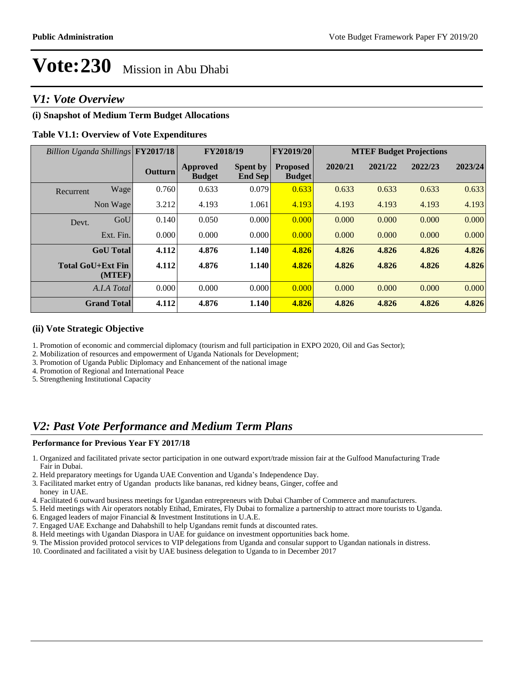## *V1: Vote Overview*

#### **(i) Snapshot of Medium Term Budget Allocations**

#### **Table V1.1: Overview of Vote Expenditures**

| Billion Uganda Shillings FY2017/18 |                    | FY2018/19      |                                  |                                   | FY2019/20                        | <b>MTEF Budget Projections</b> |         |         |         |
|------------------------------------|--------------------|----------------|----------------------------------|-----------------------------------|----------------------------------|--------------------------------|---------|---------|---------|
|                                    |                    | <b>Outturn</b> | <b>Approved</b><br><b>Budget</b> | <b>Spent by</b><br><b>End Sep</b> | <b>Proposed</b><br><b>Budget</b> | 2020/21                        | 2021/22 | 2022/23 | 2023/24 |
| Recurrent                          | Wage               | 0.760          | 0.633                            | 0.079                             | 0.633                            | 0.633                          | 0.633   | 0.633   | 0.633   |
|                                    | Non Wage           | 3.212          | 4.193                            | 1.061                             | 4.193                            | 4.193                          | 4.193   | 4.193   | 4.193   |
| Devt.                              | GoU                | 0.140          | 0.050                            | 0.000                             | 0.000                            | 0.000                          | 0.000   | 0.000   | 0.000   |
|                                    | Ext. Fin.          | 0.000          | 0.000                            | 0.000                             | 0.000                            | 0.000                          | 0.000   | 0.000   | 0.000   |
|                                    | <b>GoU</b> Total   | 4.112          | 4.876                            | 1.140                             | 4.826                            | 4.826                          | 4.826   | 4.826   | 4.826   |
| <b>Total GoU+Ext Fin</b>           | (MTEF)             | 4.112          | 4.876                            | 1.140                             | 4.826                            | 4.826                          | 4.826   | 4.826   | 4.826   |
|                                    | A.I.A Total        | 0.000          | 0.000                            | 0.000                             | 0.000                            | 0.000                          | 0.000   | 0.000   | 0.000   |
|                                    | <b>Grand Total</b> | 4.112          | 4.876                            | 1.140                             | 4.826                            | 4.826                          | 4.826   | 4.826   | 4.826   |

#### **(ii) Vote Strategic Objective**

1. Promotion of economic and commercial diplomacy (tourism and full participation in EXPO 2020, Oil and Gas Sector);

2. Mobilization of resources and empowerment of Uganda Nationals for Development;

3. Promotion of Uganda Public Diplomacy and Enhancement of the national image

4. Promotion of Regional and International Peace

5. Strengthening Institutional Capacity

## *V2: Past Vote Performance and Medium Term Plans*

#### **Performance for Previous Year FY 2017/18**

- 1. Organized and facilitated private sector participation in one outward export/trade mission fair at the Gulfood Manufacturing Trade Fair in Dubai.
- 2. Held preparatory meetings for Uganda UAE Convention and Uganda's Independence Day.
- 3. Facilitated market entry of Ugandan products like bananas, red kidney beans, Ginger, coffee and
- honey in UAE.
- 4. Facilitated 6 outward business meetings for Ugandan entrepreneurs with Dubai Chamber of Commerce and manufacturers.
- 5. Held meetings with Air operators notably Etihad, Emirates, Fly Dubai to formalize a partnership to attract more tourists to Uganda.
- 6. Engaged leaders of major Financial & Investment Institutions in U.A.E.
- 7. Engaged UAE Exchange and Dahabshill to help Ugandans remit funds at discounted rates.
- 8. Held meetings with Ugandan Diaspora in UAE for guidance on investment opportunities back home.
- 9. The Mission provided protocol services to VIP delegations from Uganda and consular support to Ugandan nationals in distress.
- 10. Coordinated and facilitated a visit by UAE business delegation to Uganda to in December 2017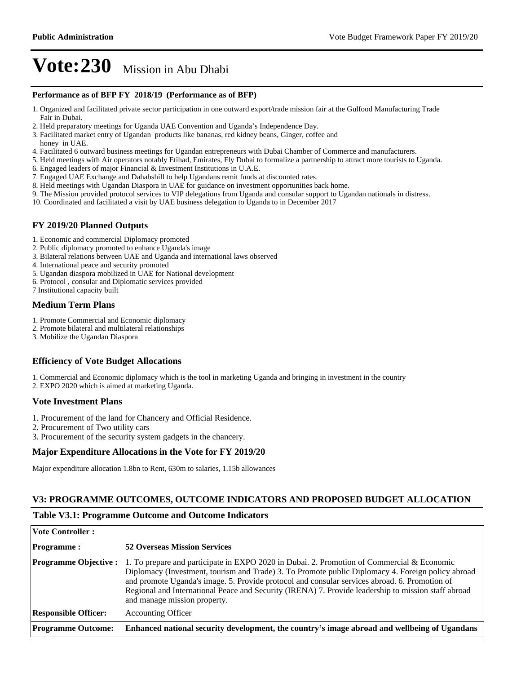#### **Performance as of BFP FY 2018/19 (Performance as of BFP)**

- 1. Organized and facilitated private sector participation in one outward export/trade mission fair at the Gulfood Manufacturing Trade Fair in Dubai.
- 2. Held preparatory meetings for Uganda UAE Convention and Uganda's Independence Day.
- 3. Facilitated market entry of Ugandan products like bananas, red kidney beans, Ginger, coffee and honey in UAE.
- 4. Facilitated 6 outward business meetings for Ugandan entrepreneurs with Dubai Chamber of Commerce and manufacturers.
- 5. Held meetings with Air operators notably Etihad, Emirates, Fly Dubai to formalize a partnership to attract more tourists to Uganda.
- 6. Engaged leaders of major Financial & Investment Institutions in U.A.E.
- 7. Engaged UAE Exchange and Dahabshill to help Ugandans remit funds at discounted rates.
- 8. Held meetings with Ugandan Diaspora in UAE for guidance on investment opportunities back home.
- 9. The Mission provided protocol services to VIP delegations from Uganda and consular support to Ugandan nationals in distress.
- 10. Coordinated and facilitated a visit by UAE business delegation to Uganda to in December 2017

#### **FY 2019/20 Planned Outputs**

- 1. Economic and commercial Diplomacy promoted
- 2. Public diplomacy promoted to enhance Uganda's image
- 3. Bilateral relations between UAE and Uganda and international laws observed
- 4. International peace and security promoted
- 5. Ugandan diaspora mobilized in UAE for National development
- 6. Protocol , consular and Diplomatic services provided
- 7 Institutional capacity built

#### **Medium Term Plans**

- 1. Promote Commercial and Economic diplomacy
- 2. Promote bilateral and multilateral relationships
- 3. Mobilize the Ugandan Diaspora

#### **Efficiency of Vote Budget Allocations**

1. Commercial and Economic diplomacy which is the tool in marketing Uganda and bringing in investment in the country

2. EXPO 2020 which is aimed at marketing Uganda.

#### **Vote Investment Plans**

- 1. Procurement of the land for Chancery and Official Residence.
- 2. Procurement of Two utility cars
- 3. Procurement of the security system gadgets in the chancery.

#### **Major Expenditure Allocations in the Vote for FY 2019/20**

Major expenditure allocation 1.8bn to Rent, 630m to salaries, 1.15b allowances

#### **V3: PROGRAMME OUTCOMES, OUTCOME INDICATORS AND PROPOSED BUDGET ALLOCATION**

#### **Table V3.1: Programme Outcome and Outcome Indicators**

| <b>Vote Controller:</b>      |                                                                                                                                                                                                                                                                                                                                                                                                                                         |
|------------------------------|-----------------------------------------------------------------------------------------------------------------------------------------------------------------------------------------------------------------------------------------------------------------------------------------------------------------------------------------------------------------------------------------------------------------------------------------|
| <b>Programme:</b>            | <b>52 Overseas Mission Services</b>                                                                                                                                                                                                                                                                                                                                                                                                     |
| <b>Programme Objective :</b> | 1. To prepare and participate in EXPO 2020 in Dubai. 2. Promotion of Commercial & Economic<br>Diplomacy (Investment, tourism and Trade) 3. To Promote public Diplomacy 4. Foreign policy abroad<br>and promote Uganda's image. 5. Provide protocol and consular services abroad. 6. Promotion of<br>Regional and International Peace and Security (IRENA) 7. Provide leadership to mission staff abroad<br>and manage mission property. |
| <b>Responsible Officer:</b>  | <b>Accounting Officer</b>                                                                                                                                                                                                                                                                                                                                                                                                               |
| <b>Programme Outcome:</b>    | Enhanced national security development, the country's image abroad and wellbeing of Ugandans                                                                                                                                                                                                                                                                                                                                            |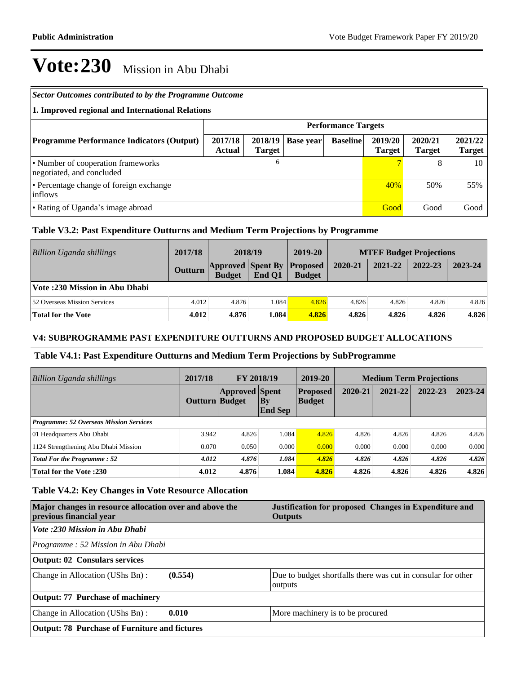| <b>Sector Outcomes contributed to by the Programme Outcome</b>  |                          |                          |                  |                            |                          |                          |                          |
|-----------------------------------------------------------------|--------------------------|--------------------------|------------------|----------------------------|--------------------------|--------------------------|--------------------------|
| 1. Improved regional and International Relations                |                          |                          |                  |                            |                          |                          |                          |
|                                                                 |                          |                          |                  | <b>Performance Targets</b> |                          |                          |                          |
| <b>Programme Performance Indicators (Output)</b>                | 2017/18<br><b>Actual</b> | 2018/19<br><b>Target</b> | <b>Base year</b> | <b>Baseline</b>            | 2019/20<br><b>Target</b> | 2020/21<br><b>Target</b> | 2021/22<br><b>Target</b> |
| • Number of cooperation frameworks<br>negotiated, and concluded |                          | 6                        |                  |                            | 7                        | 8                        | 10                       |
| • Percentage change of foreign exchange<br>inflows              |                          |                          |                  |                            | 40%                      | 50%                      | 55%                      |
| • Rating of Uganda's image abroad                               |                          |                          |                  |                            | Good                     | Good                     | Good                     |

## **Table V3.2: Past Expenditure Outturns and Medium Term Projections by Programme**

| <b>Billion Uganda shillings</b>     | 2017/18        | 2018/19                                   |        | 2019-20                          |         | <b>MTEF Budget Projections</b> |         |         |
|-------------------------------------|----------------|-------------------------------------------|--------|----------------------------------|---------|--------------------------------|---------|---------|
|                                     | <b>Outturn</b> | <b>Approved Spent By</b><br><b>Budget</b> | End O1 | <b>Proposed</b><br><b>Budget</b> | 2020-21 | 2021-22                        | 2022-23 | 2023-24 |
| Vote :230 Mission in Abu Dhabi      |                |                                           |        |                                  |         |                                |         |         |
| <b>52 Overseas Mission Services</b> | 4.012          | 4.876                                     | 1.084  | 4.826                            | 4.826   | 4.826                          | 4.826   | 4.826   |
| Total for the Vote                  | 4.012          | 4.876                                     | 1.084  | 4.826                            | 4.826   | 4.826                          | 4.826   | 4.826   |

### **V4: SUBPROGRAMME PAST EXPENDITURE OUTTURNS AND PROPOSED BUDGET ALLOCATIONS**

#### **Table V4.1: Past Expenditure Outturns and Medium Term Projections by SubProgramme**

| <b>Billion Uganda shillings</b>                | 2017/18               | <b>FY 2018/19</b>     |                             | 2019-20                          | <b>Medium Term Projections</b> |         |         |             |
|------------------------------------------------|-----------------------|-----------------------|-----------------------------|----------------------------------|--------------------------------|---------|---------|-------------|
|                                                | <b>Outturn Budget</b> | <b>Approved Spent</b> | $\bf{By}$<br><b>End Sep</b> | <b>Proposed</b><br><b>Budget</b> | 2020-21                        | 2021-22 | 2022-23 | $2023 - 24$ |
| <b>Programme: 52 Overseas Mission Services</b> |                       |                       |                             |                                  |                                |         |         |             |
| 01 Headquarters Abu Dhabi                      | 3.942                 | 4.826                 | 1.084                       | 4.826                            | 4.826                          | 4.826   | 4.826   | 4.826       |
| 1124 Strengthening Abu Dhabi Mission           | 0.070                 | 0.050                 | 0.000                       | 0.000                            | 0.000                          | 0.000   | 0.000   | 0.000       |
| Total For the Programme: 52                    | 4.012                 | 4.876                 | 1.084                       | 4.826                            | 4.826                          | 4.826   | 4.826   | 4.826       |
| <b>Total for the Vote :230</b>                 | 4.012                 | 4.876                 | 1.084                       | 4.826                            | 4.826                          | 4.826   | 4.826   | 4.826       |

#### **Table V4.2: Key Changes in Vote Resource Allocation**

| Major changes in resource allocation over and above the<br>previous financial year | Justification for proposed Changes in Expenditure and<br><b>Outputs</b> |  |  |  |  |
|------------------------------------------------------------------------------------|-------------------------------------------------------------------------|--|--|--|--|
| Vote :230 Mission in Abu Dhabi                                                     |                                                                         |  |  |  |  |
| Programme: 52 Mission in Abu Dhabi                                                 |                                                                         |  |  |  |  |
| <b>Output: 02 Consulars services</b>                                               |                                                                         |  |  |  |  |
| (0.554)<br>Change in Allocation (UShs Bn):                                         | Due to budget shortfalls there was cut in consular for other<br>outputs |  |  |  |  |
| Output: 77 Purchase of machinery                                                   |                                                                         |  |  |  |  |
| 0.010<br>Change in Allocation (UShs Bn):                                           | More machinery is to be procured                                        |  |  |  |  |
| <b>Output: 78 Purchase of Furniture and fictures</b>                               |                                                                         |  |  |  |  |